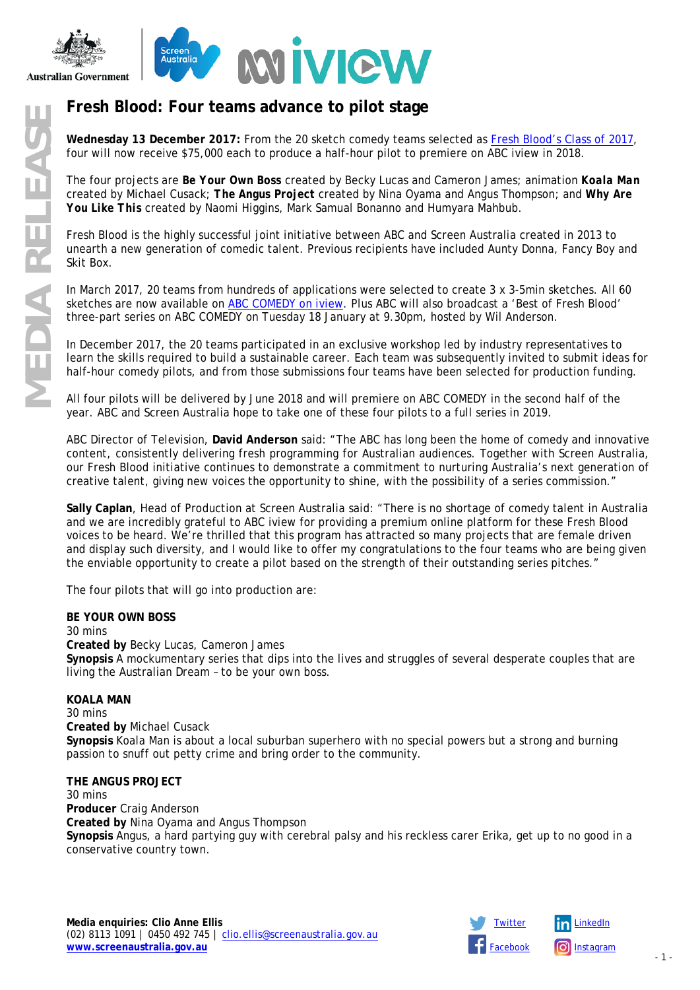

# **Fresh Blood: Four teams advance to pilot stage**

**Wednesday 13 December 2017:** From the 20 sketch comedy teams selected as [Fresh Blood's Class of 2017,](https://www.screenaustralia.gov.au/sa/media-centre/news/2017/03-28-fresh-blood) four will now receive \$75,000 each to produce a half-hour pilot to premiere on ABC iview in 2018.

The four projects are *Be Your Own Boss* created by Becky Lucas and Cameron James; animation *Koala Man* created by Michael Cusack; *The Angus Project* created by Nina Oyama and Angus Thompson; and *Why Are You Like This* created by Naomi Higgins, Mark Samual Bonanno and Humyara Mahbub.

Fresh Blood is the highly successful joint initiative between ABC and Screen Australia created in 2013 to unearth a new generation of comedic talent. Previous recipients have included Aunty Donna, Fancy Boy and Skit Box.

In March 2017, 20 teams from hundreds of applications were selected to create 3 x 3-5min sketches. All 60 sketches are now available on [ABC COMEDY](http://iview.abc.net.au/collection/abc-comedy-all-new-fresh-blood-emerging-australian-comedians) on iview. Plus ABC will also broadcast a 'Best of Fresh Blood' three-part series on ABC COMEDY on Tuesday 18 January at 9.30pm, hosted by Wil Anderson.

In December 2017, the 20 teams participated in an exclusive workshop led by industry representatives to learn the skills required to build a sustainable career. Each team was subsequently invited to submit ideas for half-hour comedy pilots, and from those submissions four teams have been selected for production funding.

All four pilots will be delivered by June 2018 and will premiere on ABC COMEDY in the second half of the year. ABC and Screen Australia hope to take one of these four pilots to a full series in 2019.

ABC Director of Television, **David Anderson** said: "The ABC has long been the home of comedy and innovative content, consistently delivering fresh programming for Australian audiences. Together with Screen Australia, our Fresh Blood initiative continues to demonstrate a commitment to nurturing Australia's next generation of creative talent, giving new voices the opportunity to shine, with the possibility of a series commission."

**Sally Caplan**, Head of Production at Screen Australia said: "There is no shortage of comedy talent in Australia and we are incredibly grateful to ABC iview for providing a premium online platform for these Fresh Blood voices to be heard. We're thrilled that this program has attracted so many projects that are female driven and display such diversity, and I would like to offer my congratulations to the four teams who are being given the enviable opportunity to create a pilot based on the strength of their outstanding series pitches."

The four pilots that will go into production are:

### **BE YOUR OWN BOSS**

30 mins **Created by** Becky Lucas, Cameron James **Synopsis** A mockumentary series that dips into the lives and struggles of several desperate couples that are living the Australian Dream – to be your own boss.

### **KOALA MAN**

30 mins **Created by** Michael Cusack **Synopsis** Koala Man is about a local suburban superhero with no special powers but a strong and burning passion to snuff out petty crime and bring order to the community.

### **THE ANGUS PROJECT**

30 mins **Producer** Craig Anderson **Created by** Nina Oyama and Angus Thompson **Synopsis** Angus, a hard partying guy with cerebral palsy and his reckless carer Erika, get up to no good in a conservative country town.